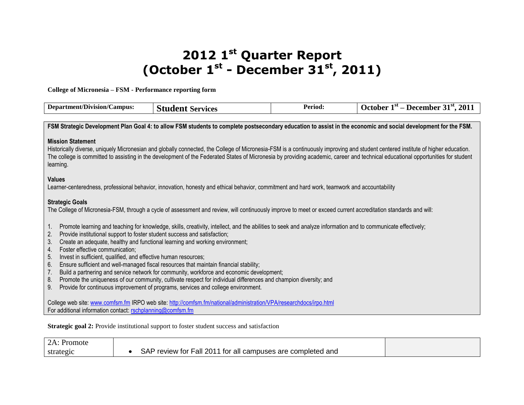## **2012 1st Quarter Report (October 1st - December 31st, 2011)**

**College of Micronesia – FSM - Performance reporting form**

| <b>Department/Division/Campus:</b>                                                                                                                                                                                                    | <b>Student Services</b>                                                                                                                                                                                                                                                                                                                                                                                                                                                                                                                                                                                                                        | Period: | October $1st$ – December 31 <sup>st</sup> , 2011 |
|---------------------------------------------------------------------------------------------------------------------------------------------------------------------------------------------------------------------------------------|------------------------------------------------------------------------------------------------------------------------------------------------------------------------------------------------------------------------------------------------------------------------------------------------------------------------------------------------------------------------------------------------------------------------------------------------------------------------------------------------------------------------------------------------------------------------------------------------------------------------------------------------|---------|--------------------------------------------------|
|                                                                                                                                                                                                                                       |                                                                                                                                                                                                                                                                                                                                                                                                                                                                                                                                                                                                                                                |         |                                                  |
|                                                                                                                                                                                                                                       | FSM Strategic Development Plan Goal 4: to allow FSM students to complete postsecondary education to assist in the economic and social development for the FSM.                                                                                                                                                                                                                                                                                                                                                                                                                                                                                 |         |                                                  |
| <b>Mission Statement</b><br>learning.                                                                                                                                                                                                 | Historically diverse, uniquely Micronesian and globally connected, the College of Micronesia-FSM is a continuously improving and student centered institute of higher education.<br>The college is committed to assisting in the development of the Federated States of Micronesia by providing academic, career and technical educational opportunities for student                                                                                                                                                                                                                                                                           |         |                                                  |
| <b>Values</b>                                                                                                                                                                                                                         | Learner-centeredness, professional behavior, innovation, honesty and ethical behavior, commitment and hard work, teamwork and accountability                                                                                                                                                                                                                                                                                                                                                                                                                                                                                                   |         |                                                  |
| <b>Strategic Goals</b>                                                                                                                                                                                                                | The College of Micronesia-FSM, through a cycle of assessment and review, will continuously improve to meet or exceed current accreditation standards and will:                                                                                                                                                                                                                                                                                                                                                                                                                                                                                 |         |                                                  |
| 1.<br>2.<br>Provide institutional support to foster student success and satisfaction;<br>3.<br>4.<br>Foster effective communication;<br>5.<br>Invest in sufficient, qualified, and effective human resources;<br>6.<br>7.<br>8.<br>9. | Promote learning and teaching for knowledge, skills, creativity, intellect, and the abilities to seek and analyze information and to communicate effectively;<br>Create an adequate, healthy and functional learning and working environment;<br>Ensure sufficient and well-managed fiscal resources that maintain financial stability;<br>Build a partnering and service network for community, workforce and economic development;<br>Promote the uniqueness of our community, cultivate respect for individual differences and champion diversity; and<br>Provide for continuous improvement of programs, services and college environment. |         |                                                  |
| For additional information contact: rschplanning@comfsm.fm                                                                                                                                                                            | College web site: www.comfsm.fm IRPO web site: http://comfsm.fm/national/administration/VPA/researchdocs/irpo.html<br><b>Strategic goal 2:</b> Provide institutional support to foster student success and satisfaction                                                                                                                                                                                                                                                                                                                                                                                                                        |         |                                                  |

| 2A: Promote |                                                             |  |
|-------------|-------------------------------------------------------------|--|
| strategic   | SAP review for Fall 2011 for all campuses are completed and |  |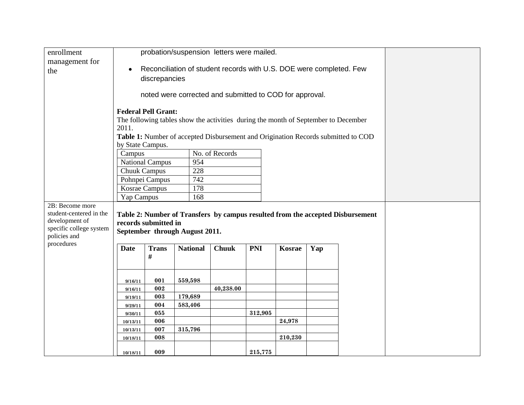| enrollment              |                                                                                  |                                                                                   | probation/suspension letters were mailed.                                          |              |            |         |     |  |  |  |  |  |
|-------------------------|----------------------------------------------------------------------------------|-----------------------------------------------------------------------------------|------------------------------------------------------------------------------------|--------------|------------|---------|-----|--|--|--|--|--|
| management for          |                                                                                  |                                                                                   |                                                                                    |              |            |         |     |  |  |  |  |  |
| the                     | Reconciliation of student records with U.S. DOE were completed. Few<br>$\bullet$ |                                                                                   |                                                                                    |              |            |         |     |  |  |  |  |  |
|                         | discrepancies                                                                    |                                                                                   |                                                                                    |              |            |         |     |  |  |  |  |  |
|                         |                                                                                  |                                                                                   |                                                                                    |              |            |         |     |  |  |  |  |  |
|                         |                                                                                  | noted were corrected and submitted to COD for approval.                           |                                                                                    |              |            |         |     |  |  |  |  |  |
|                         |                                                                                  | <b>Federal Pell Grant:</b>                                                        |                                                                                    |              |            |         |     |  |  |  |  |  |
|                         |                                                                                  |                                                                                   | The following tables show the activities during the month of September to December |              |            |         |     |  |  |  |  |  |
|                         | 2011.                                                                            |                                                                                   |                                                                                    |              |            |         |     |  |  |  |  |  |
|                         |                                                                                  | Table 1: Number of accepted Disbursement and Origination Records submitted to COD |                                                                                    |              |            |         |     |  |  |  |  |  |
|                         | by State Campus.                                                                 |                                                                                   |                                                                                    |              |            |         |     |  |  |  |  |  |
|                         | No. of Records<br>Campus                                                         |                                                                                   |                                                                                    |              |            |         |     |  |  |  |  |  |
|                         |                                                                                  | <b>National Campus</b>                                                            | 954                                                                                |              |            |         |     |  |  |  |  |  |
|                         | <b>Chuuk Campus</b>                                                              |                                                                                   | 228                                                                                |              |            |         |     |  |  |  |  |  |
|                         |                                                                                  | Pohnpei Campus                                                                    | 742                                                                                |              |            |         |     |  |  |  |  |  |
|                         | Kosrae Campus                                                                    |                                                                                   | 178                                                                                |              |            |         |     |  |  |  |  |  |
|                         | Yap Campus<br>168                                                                |                                                                                   |                                                                                    |              |            |         |     |  |  |  |  |  |
| 2B: Become more         |                                                                                  |                                                                                   |                                                                                    |              |            |         |     |  |  |  |  |  |
| student-centered in the | Table 2: Number of Transfers by campus resulted from the accepted Disbursement   |                                                                                   |                                                                                    |              |            |         |     |  |  |  |  |  |
| development of          | records submitted in                                                             |                                                                                   |                                                                                    |              |            |         |     |  |  |  |  |  |
| specific college system | September through August 2011.                                                   |                                                                                   |                                                                                    |              |            |         |     |  |  |  |  |  |
| policies and            |                                                                                  |                                                                                   |                                                                                    |              |            |         |     |  |  |  |  |  |
| procedures              | <b>Date</b>                                                                      | <b>Trans</b>                                                                      | <b>National</b>                                                                    | <b>Chuuk</b> | <b>PNI</b> | Kosrae  | Yap |  |  |  |  |  |
|                         |                                                                                  | #                                                                                 |                                                                                    |              |            |         |     |  |  |  |  |  |
|                         |                                                                                  |                                                                                   |                                                                                    |              |            |         |     |  |  |  |  |  |
|                         |                                                                                  |                                                                                   |                                                                                    |              |            |         |     |  |  |  |  |  |
|                         | 9/16/11                                                                          | 001                                                                               | 559,598                                                                            |              |            |         |     |  |  |  |  |  |
|                         | 9/16/11                                                                          | 002                                                                               |                                                                                    | 40,238.00    |            |         |     |  |  |  |  |  |
|                         | 9/19/11                                                                          | 003                                                                               | 179,689                                                                            |              |            |         |     |  |  |  |  |  |
|                         | 9/29/11                                                                          | 004                                                                               | 583,406                                                                            |              |            |         |     |  |  |  |  |  |
|                         | 9/30/11                                                                          | 055                                                                               |                                                                                    |              | 312,905    |         |     |  |  |  |  |  |
|                         | 10/13/11                                                                         | 006<br>007                                                                        | 315,796                                                                            |              |            | 24,978  |     |  |  |  |  |  |
|                         | 10/13/11<br>10/18/11                                                             | 008                                                                               |                                                                                    |              |            | 210,230 |     |  |  |  |  |  |
|                         |                                                                                  |                                                                                   |                                                                                    |              |            |         |     |  |  |  |  |  |
|                         | 10/18/11                                                                         | 009                                                                               |                                                                                    |              | 215,775    |         |     |  |  |  |  |  |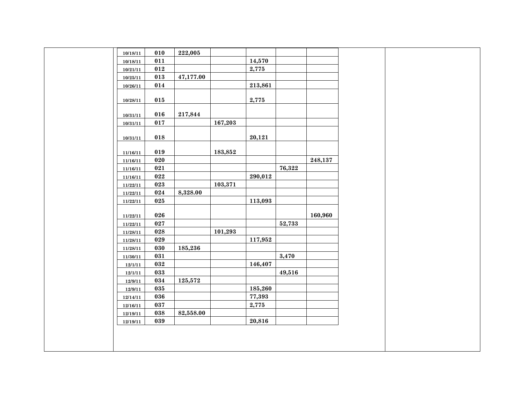| 10/18/11 | 010 | 222,005   |         |         |        |         |  |
|----------|-----|-----------|---------|---------|--------|---------|--|
| 10/18/11 | 011 |           |         | 14,570  |        |         |  |
| 10/21/11 | 012 |           |         | 2,775   |        |         |  |
| 10/25/11 | 013 | 47,177.00 |         |         |        |         |  |
| 10/26/11 | 014 |           |         | 213,861 |        |         |  |
|          |     |           |         |         |        |         |  |
| 10/28/11 | 015 |           |         | 2,775   |        |         |  |
|          |     |           |         |         |        |         |  |
| 10/31/11 | 016 | 217,844   |         |         |        |         |  |
| 10/31/11 | 017 |           | 167,203 |         |        |         |  |
|          |     |           |         |         |        |         |  |
| 10/31/11 | 018 |           |         | 20,121  |        |         |  |
|          | 019 |           | 183,852 |         |        |         |  |
| 11/16/11 |     |           |         |         |        |         |  |
| 11/16/11 | 020 |           |         |         |        | 248,137 |  |
| 11/16/11 | 021 |           |         |         | 76,322 |         |  |
| 11/16/11 | 022 |           |         | 290,012 |        |         |  |
| 11/22/11 | 023 |           | 103,371 |         |        |         |  |
| 11/22/11 | 024 | 8,328.00  |         |         |        |         |  |
| 11/22/11 | 025 |           |         | 113,093 |        |         |  |
|          |     |           |         |         |        |         |  |
| 11/22/11 | 026 |           |         |         |        | 160,960 |  |
| 11/22/11 | 027 |           |         |         | 52,733 |         |  |
| 11/28/11 | 028 |           | 101,293 |         |        |         |  |
| 11/28/11 | 029 |           |         | 117,952 |        |         |  |
| 11/28/11 | 030 | 185,236   |         |         |        |         |  |
| 11/30/11 | 031 |           |         |         | 3,470  |         |  |
| 12/1/11  | 032 |           |         | 146,407 |        |         |  |
| 12/1/11  | 033 |           |         |         | 49,516 |         |  |
| 12/9/11  | 034 | 125,572   |         |         |        |         |  |
| 12/9/11  | 035 |           |         | 185,260 |        |         |  |
| 12/14/11 | 036 |           |         | 77,393  |        |         |  |
| 12/16/11 | 037 |           |         | 2,775   |        |         |  |
| 12/19/11 | 038 | 82,558.00 |         |         |        |         |  |
| 12/19/11 | 039 |           |         | 20,816  |        |         |  |
|          |     |           |         |         |        |         |  |
|          |     |           |         |         |        |         |  |
|          |     |           |         |         |        |         |  |
|          |     |           |         |         |        |         |  |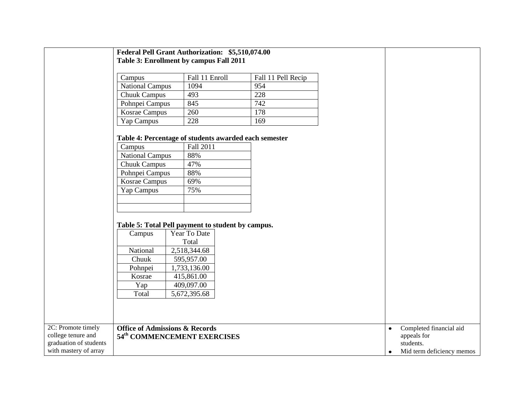|                                          | Federal Pell Grant Authorization: \$5,510,074.00<br>Table 3: Enrollment by campus Fall 2011                                                                                                                                      |                                                              |                    |                                                     |
|------------------------------------------|----------------------------------------------------------------------------------------------------------------------------------------------------------------------------------------------------------------------------------|--------------------------------------------------------------|--------------------|-----------------------------------------------------|
|                                          | Campus                                                                                                                                                                                                                           | Fall 11 Enroll                                               | Fall 11 Pell Recip |                                                     |
|                                          | <b>National Campus</b>                                                                                                                                                                                                           | 1094                                                         | 954                |                                                     |
|                                          | <b>Chuuk Campus</b>                                                                                                                                                                                                              | 493                                                          | 228                |                                                     |
|                                          | Pohnpei Campus                                                                                                                                                                                                                   | 845                                                          | 742                |                                                     |
|                                          | Kosrae Campus                                                                                                                                                                                                                    | 260                                                          | 178                |                                                     |
|                                          | Yap Campus                                                                                                                                                                                                                       | 228                                                          | 169                |                                                     |
|                                          | Table 4: Percentage of students awarded each semester<br>Campus<br><b>National Campus</b><br><b>Chuuk Campus</b><br>Pohnpei Campus<br>Kosrae Campus<br>Yap Campus<br>Table 5: Total Pell payment to student by campus.<br>Campus | Fall 2011<br>88%<br>47%<br>88%<br>69%<br>75%<br>Year To Date |                    |                                                     |
|                                          |                                                                                                                                                                                                                                  | Total                                                        |                    |                                                     |
|                                          | National                                                                                                                                                                                                                         | 2,518,344.68                                                 |                    |                                                     |
|                                          | Chuuk<br>Pohnpei                                                                                                                                                                                                                 | 595,957.00<br>1,733,136.00                                   |                    |                                                     |
|                                          | Kosrae                                                                                                                                                                                                                           | 415,861.00                                                   |                    |                                                     |
|                                          | Yap                                                                                                                                                                                                                              | 409,097.00                                                   |                    |                                                     |
|                                          | Total                                                                                                                                                                                                                            | 5,672,395.68                                                 |                    |                                                     |
|                                          |                                                                                                                                                                                                                                  |                                                              |                    |                                                     |
|                                          |                                                                                                                                                                                                                                  |                                                              |                    |                                                     |
| 2C: Promote timely<br>college tenure and | <b>Office of Admissions &amp; Records</b><br>54 <sup>th</sup> COMMENCEMENT EXERCISES                                                                                                                                             |                                                              |                    | Completed financial aid<br>$\bullet$<br>appeals for |
| graduation of students                   |                                                                                                                                                                                                                                  |                                                              |                    | students.                                           |
| with mastery of array                    |                                                                                                                                                                                                                                  |                                                              |                    | Mid term deficiency memos<br>٠                      |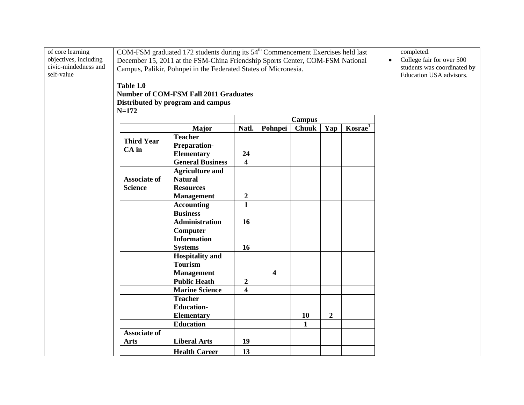| of core learning      |                                                                 | COM-FSM graduated 172 students during its 54 <sup>th</sup> Commencement Exercises held last |                                                                |                         |              |                  |  |  | completed.                |
|-----------------------|-----------------------------------------------------------------|---------------------------------------------------------------------------------------------|----------------------------------------------------------------|-------------------------|--------------|------------------|--|--|---------------------------|
| objectives, including |                                                                 | December 15, 2011 at the FSM-China Friendship Sports Center, COM-FSM National               |                                                                |                         |              |                  |  |  | College fair for over 500 |
| civic-mindedness and  | Campus, Palikir, Pohnpei in the Federated States of Micronesia. |                                                                                             | students was coordinated by                                    |                         |              |                  |  |  |                           |
| self-value            |                                                                 |                                                                                             |                                                                |                         |              |                  |  |  | Education USA advisors.   |
|                       | Table 1.0                                                       |                                                                                             |                                                                |                         |              |                  |  |  |                           |
|                       |                                                                 | <b>Number of COM-FSM Fall 2011 Graduates</b>                                                |                                                                |                         |              |                  |  |  |                           |
|                       |                                                                 | Distributed by program and campus                                                           |                                                                |                         |              |                  |  |  |                           |
|                       | $N = 172$                                                       |                                                                                             |                                                                |                         |              |                  |  |  |                           |
|                       |                                                                 | <b>Campus</b>                                                                               |                                                                |                         |              |                  |  |  |                           |
|                       |                                                                 | Major                                                                                       | Natl.<br>Pohnpei<br><b>Chuuk</b><br>Kosrae <sup>1</sup><br>Yap |                         |              |                  |  |  |                           |
|                       |                                                                 | <b>Teacher</b>                                                                              |                                                                |                         |              |                  |  |  |                           |
|                       | <b>Third Year</b>                                               | Preparation-                                                                                |                                                                |                         |              |                  |  |  |                           |
|                       | $CA$ in                                                         | <b>Elementary</b>                                                                           | 24                                                             |                         |              |                  |  |  |                           |
|                       |                                                                 | <b>General Business</b>                                                                     | $\overline{\mathbf{4}}$                                        |                         |              |                  |  |  |                           |
|                       |                                                                 | <b>Agriculture and</b>                                                                      |                                                                |                         |              |                  |  |  |                           |
|                       | <b>Associate of</b>                                             | <b>Natural</b>                                                                              |                                                                |                         |              |                  |  |  |                           |
|                       | <b>Science</b>                                                  | <b>Resources</b>                                                                            |                                                                |                         |              |                  |  |  |                           |
|                       |                                                                 | <b>Management</b>                                                                           | $\boldsymbol{2}$                                               |                         |              |                  |  |  |                           |
|                       |                                                                 | <b>Accounting</b>                                                                           | $\mathbf{1}$                                                   |                         |              |                  |  |  |                           |
|                       |                                                                 | <b>Business</b>                                                                             |                                                                |                         |              |                  |  |  |                           |
|                       |                                                                 | Administration                                                                              | 16                                                             |                         |              |                  |  |  |                           |
|                       |                                                                 | Computer                                                                                    |                                                                |                         |              |                  |  |  |                           |
|                       |                                                                 | <b>Information</b>                                                                          |                                                                |                         |              |                  |  |  |                           |
|                       |                                                                 | <b>Systems</b>                                                                              | 16                                                             |                         |              |                  |  |  |                           |
|                       |                                                                 | <b>Hospitality</b> and                                                                      |                                                                |                         |              |                  |  |  |                           |
|                       |                                                                 | <b>Tourism</b>                                                                              |                                                                |                         |              |                  |  |  |                           |
|                       |                                                                 | <b>Management</b>                                                                           |                                                                | $\overline{\mathbf{4}}$ |              |                  |  |  |                           |
|                       |                                                                 | <b>Public Heath</b>                                                                         | $\boldsymbol{2}$                                               |                         |              |                  |  |  |                           |
|                       |                                                                 | <b>Marine Science</b>                                                                       | $\overline{\mathbf{4}}$                                        |                         |              |                  |  |  |                           |
|                       |                                                                 | <b>Teacher</b>                                                                              |                                                                |                         |              |                  |  |  |                           |
|                       |                                                                 | <b>Education-</b>                                                                           |                                                                |                         |              |                  |  |  |                           |
|                       |                                                                 | <b>Elementary</b>                                                                           |                                                                |                         | 10           | $\boldsymbol{2}$ |  |  |                           |
|                       |                                                                 | <b>Education</b>                                                                            |                                                                |                         | $\mathbf{1}$ |                  |  |  |                           |
|                       | <b>Associate of</b>                                             |                                                                                             |                                                                |                         |              |                  |  |  |                           |
|                       | <b>Arts</b>                                                     | <b>Liberal Arts</b>                                                                         | 19                                                             |                         |              |                  |  |  |                           |
|                       |                                                                 | <b>Health Career</b>                                                                        | 13                                                             |                         |              |                  |  |  |                           |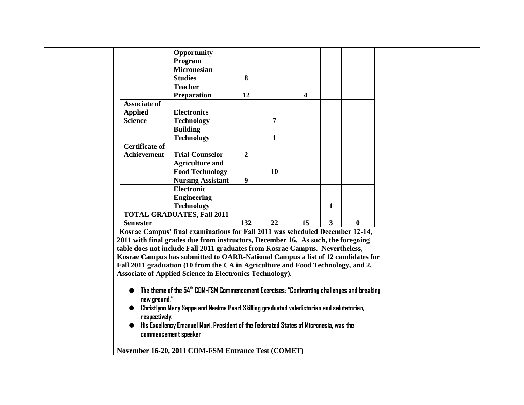|                       | Opportunity                                                                                            |                  |                |    |                |   |  |
|-----------------------|--------------------------------------------------------------------------------------------------------|------------------|----------------|----|----------------|---|--|
|                       | Program                                                                                                |                  |                |    |                |   |  |
|                       | <b>Micronesian</b>                                                                                     |                  |                |    |                |   |  |
|                       | <b>Studies</b>                                                                                         | 8                |                |    |                |   |  |
|                       | <b>Teacher</b>                                                                                         |                  |                |    |                |   |  |
|                       | <b>Preparation</b>                                                                                     | 12               |                | 4  |                |   |  |
| <b>Associate of</b>   |                                                                                                        |                  |                |    |                |   |  |
| <b>Applied</b>        | <b>Electronics</b>                                                                                     |                  |                |    |                |   |  |
| <b>Science</b>        | <b>Technology</b>                                                                                      |                  | $\overline{7}$ |    |                |   |  |
|                       | <b>Building</b>                                                                                        |                  |                |    |                |   |  |
|                       | <b>Technology</b>                                                                                      |                  | $\mathbf{1}$   |    |                |   |  |
| <b>Certificate of</b> |                                                                                                        |                  |                |    |                |   |  |
| <b>Achievement</b>    | <b>Trial Counselor</b>                                                                                 | $\boldsymbol{2}$ |                |    |                |   |  |
|                       | <b>Agriculture and</b>                                                                                 |                  |                |    |                |   |  |
|                       | <b>Food Technology</b>                                                                                 |                  | 10             |    |                |   |  |
|                       | <b>Nursing Assistant</b>                                                                               | 9                |                |    |                |   |  |
|                       | <b>Electronic</b>                                                                                      |                  |                |    |                |   |  |
|                       | <b>Engineering</b>                                                                                     |                  |                |    |                |   |  |
|                       | <b>Technology</b>                                                                                      |                  |                |    | 1              |   |  |
|                       | <b>TOTAL GRADUATES, Fall 2011</b>                                                                      |                  |                |    |                |   |  |
| <b>Semester</b>       |                                                                                                        | 132              | 22             | 15 | 3 <sup>1</sup> | 0 |  |
|                       | ${}^{1}$ Kosrae Campus' final examinations for Fall 2011 was scheduled December 12-14,                 |                  |                |    |                |   |  |
|                       | 2011 with final grades due from instructors, December 16. As such, the foregoing                       |                  |                |    |                |   |  |
|                       | table does not include Fall 2011 graduates from Kosrae Campus. Nevertheless,                           |                  |                |    |                |   |  |
|                       | Kosrae Campus has submitted to OARR-National Campus a list of 12 candidates for                        |                  |                |    |                |   |  |
|                       | Fall 2011 graduation (10 from the CA in Agriculture and Food Technology, and 2,                        |                  |                |    |                |   |  |
|                       | <b>Associate of Applied Science in Electronics Technology).</b>                                        |                  |                |    |                |   |  |
|                       |                                                                                                        |                  |                |    |                |   |  |
|                       | The theme of the 54 <sup>th</sup> COM-FSM Commencement Exercises: "Confronting challenges and breaking |                  |                |    |                |   |  |
| new ground."          |                                                                                                        |                  |                |    |                |   |  |
|                       | Christlynn Mary Sappa and Neelma Pearl Skilling graduated valedictorian and salutatorian,              |                  |                |    |                |   |  |
| respectively.         |                                                                                                        |                  |                |    |                |   |  |
|                       | His Excellency Emanuel Mori, President of the Federated States of Micronesia, was the                  |                  |                |    |                |   |  |
|                       | commencement speaker                                                                                   |                  |                |    |                |   |  |
|                       |                                                                                                        |                  |                |    |                |   |  |
|                       | November 16-20, 2011 COM-FSM Entrance Test (COMET)                                                     |                  |                |    |                |   |  |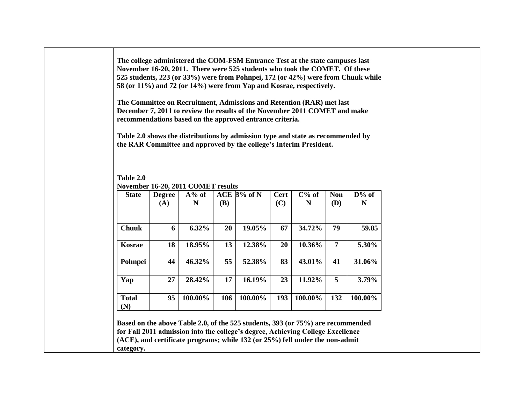**The college administered the COM-FSM Entrance Test at the state campuses last November 16-20, 2011. There were 525 students who took the COMET. Of these 525 students, 223 (or 33%) were from Pohnpei, 172 (or 42%) were from Chuuk while 58 (or 11%) and 72 (or 14%) were from Yap and Kosrae, respectively.**

**The Committee on Recruitment, Admissions and Retention (RAR) met last December 7, 2011 to review the results of the November 2011 COMET and make recommendations based on the approved entrance criteria.** 

**Table 2.0 shows the distributions by admission type and state as recommended by the RAR Committee and approved by the college's Interim President.**

**Table 2.0 November 16-20, 2011 COMET results**

| <b>State</b>        | <b>Degree</b> | $A\%$ of |     | $ACE$ B% of N | <b>Cert</b> | $C\%$ of | <b>Non</b> | $D\%$ of |
|---------------------|---------------|----------|-----|---------------|-------------|----------|------------|----------|
|                     | (A)           | N        | (B) |               | (C)         | N        | <b>(D)</b> | N        |
| <b>Chuuk</b>        | 6             | $6.32\%$ | 20  | 19.05%        | 67          | 34.72%   | 79         | 59.85    |
| <b>Kosrae</b>       | 18            | 18.95%   | 13  | 12.38%        | 20          | 10.36%   | 7          | 5.30%    |
| Pohnpei             | 44            | 46.32%   | 55  | 52.38%        | 83          | 43.01%   | 41         | 31.06%   |
| Yap                 | 27            | 28.42%   | 17  | 16.19%        | 23          | 11.92%   | 5          | 3.79%    |
| <b>Total</b><br>(N) | 95            | 100.00%  | 106 | 100.00%       | 193         | 100.00%  | 132        | 100.00%  |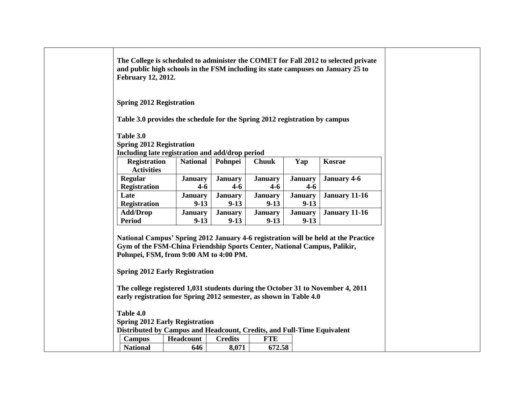| The College is scheduled to administer the COMET for Fall 2012 to selected private<br>and public high schools in the FSM including its state campuses on January 25 to<br><b>February 12, 2012.</b>                                                                                                                  |                            |                           |                            |                            |                                                                                    |
|----------------------------------------------------------------------------------------------------------------------------------------------------------------------------------------------------------------------------------------------------------------------------------------------------------------------|----------------------------|---------------------------|----------------------------|----------------------------|------------------------------------------------------------------------------------|
| <b>Spring 2012 Registration</b>                                                                                                                                                                                                                                                                                      |                            |                           |                            |                            |                                                                                    |
| Table 3.0 provides the schedule for the Spring 2012 registration by campus                                                                                                                                                                                                                                           |                            |                           |                            |                            |                                                                                    |
| Table 3.0<br><b>Spring 2012 Registration</b><br>Including late registration and add/drop period                                                                                                                                                                                                                      |                            |                           |                            |                            |                                                                                    |
| <b>Registration</b><br><b>Activities</b>                                                                                                                                                                                                                                                                             | <b>National</b>            | Pohnpei                   | <b>Chuuk</b>               | Yap                        | Kosrae                                                                             |
| Regular<br>Registration                                                                                                                                                                                                                                                                                              | <b>January</b><br>$4 - 6$  | <b>January</b><br>$4 - 6$ | <b>January</b><br>$4 - 6$  | <b>January</b><br>$4 - 6$  | <b>January 4-6</b>                                                                 |
| Late<br><b>Registration</b>                                                                                                                                                                                                                                                                                          | <b>January</b><br>$9 - 13$ | <b>January</b><br>$9-13$  | <b>January</b><br>$9 - 13$ | <b>January</b><br>$9 - 13$ | <b>January 11-16</b>                                                               |
| <b>Add/Drop</b><br><b>Period</b>                                                                                                                                                                                                                                                                                     | <b>January</b><br>$9 - 13$ | <b>January</b><br>$9-13$  | <b>January</b><br>$9-13$   | <b>January</b><br>$9 - 13$ | <b>January 11-16</b>                                                               |
| Gym of the FSM-China Friendship Sports Center, National Campus, Palikir,<br>Pohnpei, FSM, from 9:00 AM to 4:00 PM.<br><b>Spring 2012 Early Registration</b><br>The college registered 1,031 students during the October 31 to November 4, 2011<br>early registration for Spring 2012 semester, as shown in Table 4.0 |                            |                           |                            |                            | National Campus' Spring 2012 January 4-6 registration will be held at the Practice |
| Table 4.0                                                                                                                                                                                                                                                                                                            |                            |                           |                            |                            |                                                                                    |
| <b>Spring 2012 Early Registration</b><br>Distributed by Campus and Headcount, Credits, and Full-Time Equivalent                                                                                                                                                                                                      |                            |                           |                            |                            |                                                                                    |
| <b>Campus</b>                                                                                                                                                                                                                                                                                                        | Headcount                  | <b>Credits</b>            | <b>FTE</b>                 |                            |                                                                                    |
| <b>National</b>                                                                                                                                                                                                                                                                                                      | 646                        | 8,071                     | 672.58                     |                            |                                                                                    |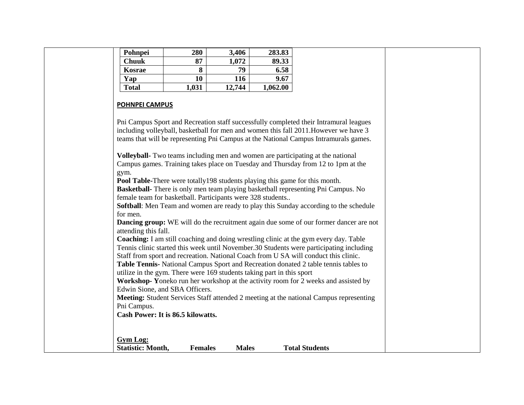| Pohnpei                                                                                                                                                                                                                                    | 280            | 3,406        | 283.83   |                                                                                                                                                                                                                                                                                                                                                                                                                                                                                                                                                                                                                                                                                                                                                                                                                                                                                                                                                                                                                                                                                                                                                                                                                                                                                                                                                                  |  |
|--------------------------------------------------------------------------------------------------------------------------------------------------------------------------------------------------------------------------------------------|----------------|--------------|----------|------------------------------------------------------------------------------------------------------------------------------------------------------------------------------------------------------------------------------------------------------------------------------------------------------------------------------------------------------------------------------------------------------------------------------------------------------------------------------------------------------------------------------------------------------------------------------------------------------------------------------------------------------------------------------------------------------------------------------------------------------------------------------------------------------------------------------------------------------------------------------------------------------------------------------------------------------------------------------------------------------------------------------------------------------------------------------------------------------------------------------------------------------------------------------------------------------------------------------------------------------------------------------------------------------------------------------------------------------------------|--|
| <b>Chuuk</b>                                                                                                                                                                                                                               | 87             | 1,072        | 89.33    |                                                                                                                                                                                                                                                                                                                                                                                                                                                                                                                                                                                                                                                                                                                                                                                                                                                                                                                                                                                                                                                                                                                                                                                                                                                                                                                                                                  |  |
| Kosrae                                                                                                                                                                                                                                     | 8              | 79           | 6.58     |                                                                                                                                                                                                                                                                                                                                                                                                                                                                                                                                                                                                                                                                                                                                                                                                                                                                                                                                                                                                                                                                                                                                                                                                                                                                                                                                                                  |  |
| Yap                                                                                                                                                                                                                                        | 10             | 116          | 9.67     |                                                                                                                                                                                                                                                                                                                                                                                                                                                                                                                                                                                                                                                                                                                                                                                                                                                                                                                                                                                                                                                                                                                                                                                                                                                                                                                                                                  |  |
| <b>Total</b>                                                                                                                                                                                                                               | 1,031          | 12,744       | 1,062.00 |                                                                                                                                                                                                                                                                                                                                                                                                                                                                                                                                                                                                                                                                                                                                                                                                                                                                                                                                                                                                                                                                                                                                                                                                                                                                                                                                                                  |  |
| <b>POHNPEI CAMPUS</b><br>gym.<br>female team for basketball. Participants were 328 students<br>for men.<br>attending this fall.<br>utilize in the gym. There were 169 students taking part in this sport<br>Edwin Sione, and SBA Officers. |                |              |          | Pni Campus Sport and Recreation staff successfully completed their Intramural leagues<br>including volleyball, basketball for men and women this fall 2011. However we have 3<br>teams that will be representing Pni Campus at the National Campus Intramurals games.<br>Volleyball- Two teams including men and women are participating at the national<br>Campus games. Training takes place on Tuesday and Thursday from 12 to 1pm at the<br>Pool Table-There were totally 198 students playing this game for this month.<br>Basketball- There is only men team playing basketball representing Pni Campus. No<br>Softball: Men Team and women are ready to play this Sunday according to the schedule<br><b>Dancing group:</b> WE will do the recruitment again due some of our former dancer are not<br>Coaching: I am still coaching and doing wrestling clinic at the gym every day. Table<br>Tennis clinic started this week until November.30 Students were participating including<br>Staff from sport and recreation. National Coach from U SA will conduct this clinic.<br>Table Tennis- National Campus Sport and Recreation donated 2 table tennis tables to<br>Workshop-Yoneko run her workshop at the activity room for 2 weeks and assisted by<br><b>Meeting:</b> Student Services Staff attended 2 meeting at the national Campus representing |  |
| Pni Campus.                                                                                                                                                                                                                                |                |              |          |                                                                                                                                                                                                                                                                                                                                                                                                                                                                                                                                                                                                                                                                                                                                                                                                                                                                                                                                                                                                                                                                                                                                                                                                                                                                                                                                                                  |  |
| Cash Power: It is 86.5 kilowatts.                                                                                                                                                                                                          |                |              |          |                                                                                                                                                                                                                                                                                                                                                                                                                                                                                                                                                                                                                                                                                                                                                                                                                                                                                                                                                                                                                                                                                                                                                                                                                                                                                                                                                                  |  |
| <b>Gym Log:</b>                                                                                                                                                                                                                            |                |              |          |                                                                                                                                                                                                                                                                                                                                                                                                                                                                                                                                                                                                                                                                                                                                                                                                                                                                                                                                                                                                                                                                                                                                                                                                                                                                                                                                                                  |  |
| <b>Statistic: Month,</b>                                                                                                                                                                                                                   | <b>Females</b> | <b>Males</b> |          | <b>Total Students</b>                                                                                                                                                                                                                                                                                                                                                                                                                                                                                                                                                                                                                                                                                                                                                                                                                                                                                                                                                                                                                                                                                                                                                                                                                                                                                                                                            |  |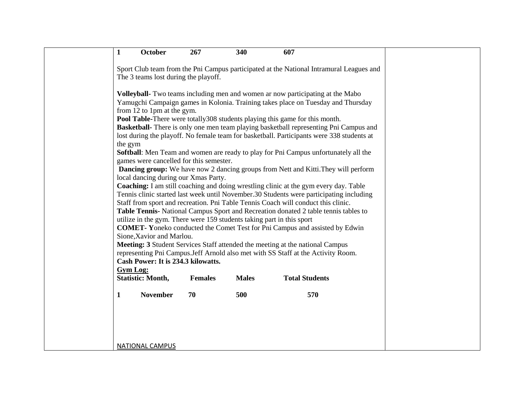| $\mathbf{1}$    | October                                                                                                       | 267            | 340          | 607                                                                                                                                                                                                                                                                                                                                                                                                                                                                                                                                                                                                                                                                                                                                                                                                                                                                                                         |  |
|-----------------|---------------------------------------------------------------------------------------------------------------|----------------|--------------|-------------------------------------------------------------------------------------------------------------------------------------------------------------------------------------------------------------------------------------------------------------------------------------------------------------------------------------------------------------------------------------------------------------------------------------------------------------------------------------------------------------------------------------------------------------------------------------------------------------------------------------------------------------------------------------------------------------------------------------------------------------------------------------------------------------------------------------------------------------------------------------------------------------|--|
|                 |                                                                                                               |                |              | Sport Club team from the Pni Campus participated at the National Intramural Leagues and                                                                                                                                                                                                                                                                                                                                                                                                                                                                                                                                                                                                                                                                                                                                                                                                                     |  |
|                 | The 3 teams lost during the playoff.                                                                          |                |              |                                                                                                                                                                                                                                                                                                                                                                                                                                                                                                                                                                                                                                                                                                                                                                                                                                                                                                             |  |
| the gym         | from 12 to 1pm at the gym.<br>games were cancelled for this semester.<br>local dancing during our Xmas Party. |                |              | Volleyball- Two teams including men and women ar now participating at the Mabo<br>Yamugchi Campaign games in Kolonia. Training takes place on Tuesday and Thursday<br>Pool Table-There were totally 308 students playing this game for this month.<br><b>Basketball-</b> There is only one men team playing basketball representing Pni Campus and<br>lost during the playoff. No female team for basketball. Participants were 338 students at<br>Softball: Men Team and women are ready to play for Pni Campus unfortunately all the<br><b>Dancing group:</b> We have now 2 dancing groups from Nett and Kitti. They will perform<br>Coaching: I am still coaching and doing wrestling clinic at the gym every day. Table<br>Tennis clinic started last week until November.30 Students were participating including<br>Staff from sport and recreation. Pni Table Tennis Coach will conduct this clinic. |  |
|                 |                                                                                                               |                |              | Table Tennis- National Campus Sport and Recreation donated 2 table tennis tables to<br>utilize in the gym. There were 159 students taking part in this sport                                                                                                                                                                                                                                                                                                                                                                                                                                                                                                                                                                                                                                                                                                                                                |  |
|                 | Sione, Xavior and Marlou.                                                                                     |                |              | <b>COMET-</b> Yoneko conducted the Comet Test for Pni Campus and assisted by Edwin                                                                                                                                                                                                                                                                                                                                                                                                                                                                                                                                                                                                                                                                                                                                                                                                                          |  |
| <b>Gym Log:</b> | Cash Power: It is 234.3 kilowatts.                                                                            |                |              | Meeting: 3 Student Services Staff attended the meeting at the national Campus<br>representing Pni Campus.Jeff Arnold also met with SS Staff at the Activity Room.                                                                                                                                                                                                                                                                                                                                                                                                                                                                                                                                                                                                                                                                                                                                           |  |
|                 | <b>Statistic: Month,</b>                                                                                      | <b>Females</b> | <b>Males</b> | <b>Total Students</b>                                                                                                                                                                                                                                                                                                                                                                                                                                                                                                                                                                                                                                                                                                                                                                                                                                                                                       |  |
| $\mathbf{1}$    | <b>November</b>                                                                                               | 70             | 500          | 570                                                                                                                                                                                                                                                                                                                                                                                                                                                                                                                                                                                                                                                                                                                                                                                                                                                                                                         |  |
|                 |                                                                                                               |                |              |                                                                                                                                                                                                                                                                                                                                                                                                                                                                                                                                                                                                                                                                                                                                                                                                                                                                                                             |  |
|                 | <b>NATIONAL CAMPUS</b>                                                                                        |                |              |                                                                                                                                                                                                                                                                                                                                                                                                                                                                                                                                                                                                                                                                                                                                                                                                                                                                                                             |  |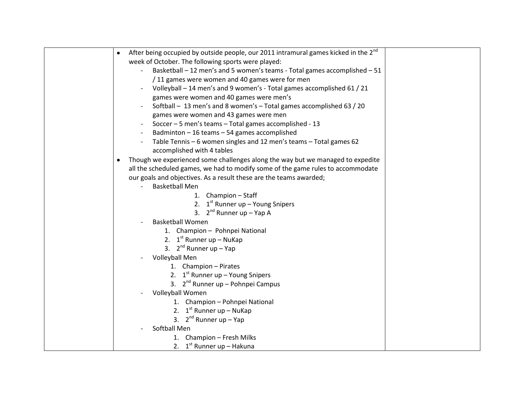| After being occupied by outside people, our 2011 intramural games kicked in the 2 <sup>nd</sup><br>$\bullet$ |
|--------------------------------------------------------------------------------------------------------------|
| week of October. The following sports were played:                                                           |
| Basketball - 12 men's and 5 women's teams - Total games accomplished - 51                                    |
| / 11 games were women and 40 games were for men                                                              |
| Volleyball - 14 men's and 9 women's - Total games accomplished 61 / 21                                       |
| games were women and 40 games were men's                                                                     |
| Softball - 13 men's and 8 women's - Total games accomplished 63 / 20                                         |
| games were women and 43 games were men                                                                       |
| Soccer - 5 men's teams - Total games accomplished - 13                                                       |
| Badminton - 16 teams - 54 games accomplished                                                                 |
| Table Tennis - 6 women singles and 12 men's teams - Total games 62<br>$\overline{a}$                         |
| accomplished with 4 tables                                                                                   |
| Though we experienced some challenges along the way but we managed to expedite<br>$\bullet$                  |
| all the scheduled games, we had to modify some of the game rules to accommodate                              |
| our goals and objectives. As a result these are the teams awarded;                                           |
| <b>Basketball Men</b>                                                                                        |
| 1. Champion - Staff                                                                                          |
| 2. $1^{st}$ Runner up – Young Snipers                                                                        |
| 3. $2^{nd}$ Runner up - Yap A                                                                                |
| <b>Basketball Women</b>                                                                                      |
| 1. Champion - Pohnpei National                                                                               |
| 2. $1^{st}$ Runner up – NuKap                                                                                |
| 3. $2^{nd}$ Runner up - Yap                                                                                  |
| Volleyball Men                                                                                               |
| 1. Champion - Pirates                                                                                        |
| 2. $1^{st}$ Runner up – Young Snipers                                                                        |
| 3. $2^{nd}$ Runner up – Pohnpei Campus                                                                       |
| Volleyball Women                                                                                             |
| 1. Champion - Pohnpei National                                                                               |
| 2. $1^{st}$ Runner up – NuKap                                                                                |
| 3. $2^{nd}$ Runner up - Yap                                                                                  |
| Softball Men                                                                                                 |
| 1. Champion - Fresh Milks                                                                                    |
| 2. $1^{st}$ Runner up – Hakuna                                                                               |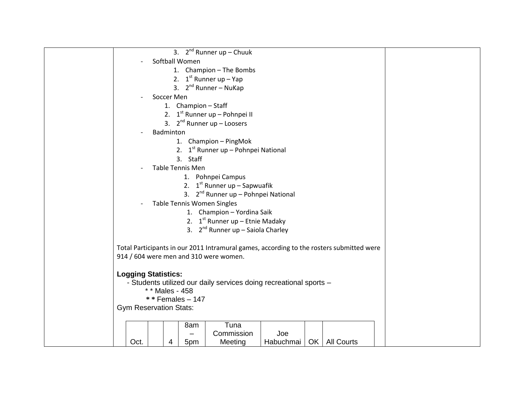| 3. $2^{nd}$ Runner up - Chuuk                                                            |
|------------------------------------------------------------------------------------------|
| Softball Women                                                                           |
| 1. Champion - The Bombs                                                                  |
| 2. $1^{st}$ Runner up - Yap                                                              |
| 3. $2^{nd}$ Runner – NuKap                                                               |
| Soccer Men                                                                               |
| 1. Champion - Staff                                                                      |
| 2. $1^{st}$ Runner up – Pohnpei II                                                       |
| 3. $2^{nd}$ Runner up - Loosers                                                          |
| Badminton                                                                                |
| 1. Champion - PingMok                                                                    |
| 2. $1^{st}$ Runner up - Pohnpei National                                                 |
| 3. Staff                                                                                 |
| <b>Table Tennis Men</b>                                                                  |
| 1. Pohnpei Campus                                                                        |
| 2. $1^{st}$ Runner up – Sapwuafik                                                        |
| 3. 2 <sup>nd</sup> Runner up - Pohnpei National                                          |
| Table Tennis Women Singles                                                               |
| 1. Champion - Yordina Saik                                                               |
| 2. $1^{st}$ Runner up – Etnie Madaky                                                     |
| 3. $2^{nd}$ Runner up – Saiola Charley                                                   |
| Total Participants in our 2011 Intramural games, according to the rosters submitted were |
| 914 / 604 were men and 310 were women.                                                   |
|                                                                                          |
| <b>Logging Statistics:</b>                                                               |
| - Students utilized our daily services doing recreational sports -                       |
| * * Males - 458                                                                          |
| $**$ Females - 147                                                                       |
| <b>Gym Reservation Stats:</b>                                                            |
|                                                                                          |
| Tuna<br>8am                                                                              |
| Joe<br>Commission                                                                        |
| OK   All Courts<br>Oct.<br>Meeting<br>Habuchmai<br>5pm<br>4                              |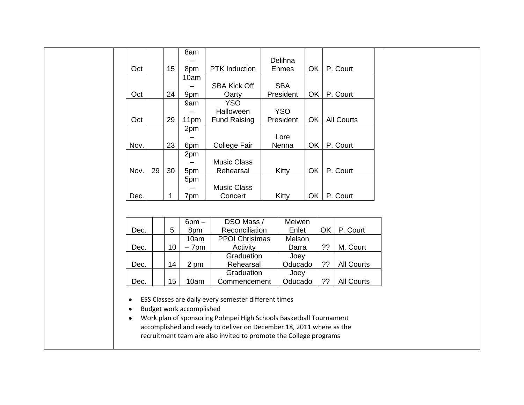|                                                                                                                                          |      |    |                 | 8am                      |                                                      |                              |                 |    |           |                   |  |
|------------------------------------------------------------------------------------------------------------------------------------------|------|----|-----------------|--------------------------|------------------------------------------------------|------------------------------|-----------------|----|-----------|-------------------|--|
|                                                                                                                                          |      |    |                 |                          |                                                      | Delihna                      |                 |    |           |                   |  |
|                                                                                                                                          | Oct  |    | 15 <sub>1</sub> | 8pm                      | PTK Induction                                        |                              | Ehmes           | OK |           | P. Court          |  |
|                                                                                                                                          |      |    |                 | 10am                     |                                                      |                              |                 |    |           |                   |  |
|                                                                                                                                          |      |    |                 |                          | <b>SBA Kick Off</b>                                  |                              | <b>SBA</b>      |    |           |                   |  |
|                                                                                                                                          | Oct  |    | 24              | 9pm                      | Oarty                                                |                              | President       | OK |           | P. Court          |  |
|                                                                                                                                          |      |    |                 | 9am                      | <b>YSO</b>                                           |                              |                 |    |           |                   |  |
|                                                                                                                                          |      |    |                 |                          | Halloween                                            |                              | <b>YSO</b>      |    |           |                   |  |
|                                                                                                                                          | Oct  |    | 29              | 11pm                     | <b>Fund Raising</b>                                  |                              | President       | OK |           | <b>All Courts</b> |  |
|                                                                                                                                          |      |    |                 | 2pm                      |                                                      |                              |                 |    |           |                   |  |
|                                                                                                                                          |      |    |                 |                          |                                                      |                              | Lore            |    |           |                   |  |
|                                                                                                                                          | Nov. |    | 23              | 6pm                      | <b>College Fair</b>                                  |                              | Nenna           | OK |           | P. Court          |  |
|                                                                                                                                          |      |    |                 | 2pm                      |                                                      |                              |                 |    |           |                   |  |
|                                                                                                                                          |      |    |                 |                          | <b>Music Class</b>                                   |                              |                 |    |           |                   |  |
|                                                                                                                                          | Nov. | 29 | 30              | 5pm                      | Rehearsal                                            |                              | Kitty           | OK |           | P. Court          |  |
|                                                                                                                                          |      |    |                 | 5pm                      |                                                      |                              |                 |    |           |                   |  |
|                                                                                                                                          |      |    |                 |                          | <b>Music Class</b>                                   |                              |                 |    |           |                   |  |
|                                                                                                                                          | Dec. |    | $\mathbf 1$     | 7pm                      | Concert                                              |                              | Kitty           | OK |           | P. Court          |  |
|                                                                                                                                          |      |    |                 |                          |                                                      |                              |                 |    |           |                   |  |
|                                                                                                                                          |      |    |                 |                          |                                                      |                              | Meiwen          |    |           |                   |  |
|                                                                                                                                          | Dec. |    | 5               | $6pm -$<br>8pm           |                                                      | DSO Mass /<br>Reconciliation |                 |    | <b>OK</b> | P. Court          |  |
|                                                                                                                                          |      |    |                 | 10am                     | <b>PPOI Christmas</b>                                |                              | Enlet<br>Melson |    |           |                   |  |
|                                                                                                                                          | Dec. |    | 10              | $-7pm$                   | Activity                                             |                              | Darra           |    | ??        | M. Court          |  |
|                                                                                                                                          |      |    |                 |                          | Graduation                                           |                              | Joey            |    |           |                   |  |
|                                                                                                                                          | Dec. |    | 14              | 2 pm                     | Rehearsal                                            |                              | Oducado         |    | 22        | <b>All Courts</b> |  |
|                                                                                                                                          |      |    |                 |                          | Graduation                                           |                              | Joey            |    |           |                   |  |
|                                                                                                                                          | Dec. |    | 15              | 10am                     | Commencement                                         |                              | Oducado         |    | ??        | <b>All Courts</b> |  |
|                                                                                                                                          |      |    |                 |                          |                                                      |                              |                 |    |           |                   |  |
| $\bullet$                                                                                                                                |      |    |                 |                          | ESS Classes are daily every semester different times |                              |                 |    |           |                   |  |
|                                                                                                                                          |      |    |                 | Budget work accomplished |                                                      |                              |                 |    |           |                   |  |
| $\bullet$                                                                                                                                |      |    |                 |                          |                                                      |                              |                 |    |           |                   |  |
| Work plan of sponsoring Pohnpei High Schools Basketball Tournament<br>$\bullet$                                                          |      |    |                 |                          |                                                      |                              |                 |    |           |                   |  |
| accomplished and ready to deliver on December 18, 2011 where as the<br>recruitment team are also invited to promote the College programs |      |    |                 |                          |                                                      |                              |                 |    |           |                   |  |
|                                                                                                                                          |      |    |                 |                          |                                                      |                              |                 |    |           |                   |  |
|                                                                                                                                          |      |    |                 |                          |                                                      |                              |                 |    |           |                   |  |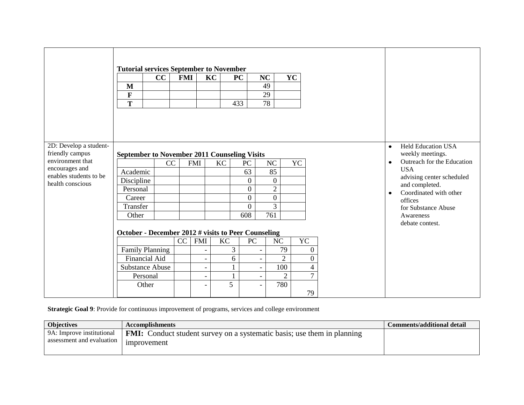|                                                              | <b>Tutorial services September to November</b>      |    |            |                          |                |                  |                          |                  |                  |           |                            |                                             |
|--------------------------------------------------------------|-----------------------------------------------------|----|------------|--------------------------|----------------|------------------|--------------------------|------------------|------------------|-----------|----------------------------|---------------------------------------------|
|                                                              |                                                     | cc | <b>FMI</b> |                          | KC             | PC               | NC                       |                  | <b>YC</b>        |           |                            |                                             |
|                                                              | M                                                   |    |            |                          |                |                  |                          | 49               |                  |           |                            |                                             |
|                                                              | F                                                   |    |            |                          |                |                  |                          | 29               |                  |           |                            |                                             |
|                                                              | $\mathbf T$                                         |    |            |                          |                | 433              |                          | 78               |                  |           |                            |                                             |
|                                                              |                                                     |    |            |                          |                |                  |                          |                  |                  |           |                            |                                             |
|                                                              |                                                     |    |            |                          |                |                  |                          |                  |                  |           |                            |                                             |
|                                                              |                                                     |    |            |                          |                |                  |                          |                  |                  |           |                            |                                             |
|                                                              |                                                     |    |            |                          |                |                  |                          |                  |                  |           |                            |                                             |
| 2D: Develop a student-                                       |                                                     |    |            |                          |                |                  |                          |                  |                  |           |                            | <b>Held Education USA</b><br>$\bullet$      |
| friendly campus                                              | <b>September to November 2011 Counseling Visits</b> |    |            | weekly meetings.         |                |                  |                          |                  |                  |           |                            |                                             |
| environment that<br>encourages and<br>enables students to be |                                                     | CC |            | <b>FMI</b>               | KC             | PC               |                          | NC               | YC               | $\bullet$ | Outreach for the Education |                                             |
|                                                              | Academic                                            |    |            |                          |                | 63               |                          | 85               |                  |           | <b>USA</b>                 |                                             |
| health conscious                                             | Discipline                                          |    |            |                          |                | $\mathbf{0}$     |                          | $\boldsymbol{0}$ |                  |           |                            | advising center scheduled<br>and completed. |
|                                                              | Personal                                            |    |            |                          |                | $\overline{0}$   |                          | $\overline{2}$   |                  |           |                            | Coordinated with other<br>$\bullet$         |
|                                                              | Career                                              |    |            |                          |                | $\mathbf{0}$     |                          | $\boldsymbol{0}$ |                  |           |                            | offices                                     |
|                                                              | Transfer                                            |    |            |                          |                | $\overline{0}$   |                          | 3                |                  |           |                            | for Substance Abuse                         |
|                                                              | Other                                               |    |            |                          |                | 608              |                          | 761              |                  |           |                            | Awareness                                   |
|                                                              |                                                     |    |            |                          |                |                  |                          |                  |                  |           |                            | debate contest.                             |
|                                                              | October - December 2012 # visits to Peer Counseling |    |            |                          |                |                  |                          |                  |                  |           |                            |                                             |
|                                                              |                                                     |    | CC         | <b>FMI</b>               | <b>KC</b>      | ${\rm P}{\bf C}$ |                          | NC               | YC               |           |                            |                                             |
|                                                              | Family Planning                                     |    |            |                          | 3 <sup>7</sup> |                  | $\overline{\phantom{0}}$ | 79               | $\boldsymbol{0}$ |           |                            |                                             |
|                                                              | <b>Financial Aid</b>                                |    |            | $\overline{\phantom{a}}$ | 6              |                  | $\overline{\phantom{0}}$ | $\overline{2}$   | $\boldsymbol{0}$ |           |                            |                                             |
|                                                              | <b>Substance Abuse</b>                              |    |            |                          | $\mathbf{1}$   |                  | $\overline{\phantom{0}}$ | 100              | $\overline{4}$   |           |                            |                                             |
|                                                              | Personal                                            |    |            | $\overline{\phantom{a}}$ | 1              |                  | -                        | $\overline{2}$   | $\overline{7}$   |           |                            |                                             |
|                                                              | Other                                               |    |            | $\overline{\phantom{a}}$ | 5              |                  | -                        | 780              |                  |           |                            |                                             |
|                                                              |                                                     |    |            |                          |                |                  |                          |                  | 79               |           |                            |                                             |

**Strategic Goal 9**: Provide for continuous improvement of programs, services and college environment

| <b>Objectives</b>                                      | <b>Accomplishments</b>                                                                        | <b>Comments/additional detail</b> |
|--------------------------------------------------------|-----------------------------------------------------------------------------------------------|-----------------------------------|
| 9A: Improve institutional<br>assessment and evaluation | <b>FMI:</b> Conduct student survey on a systematic basis; use them in planning<br>improvement |                                   |